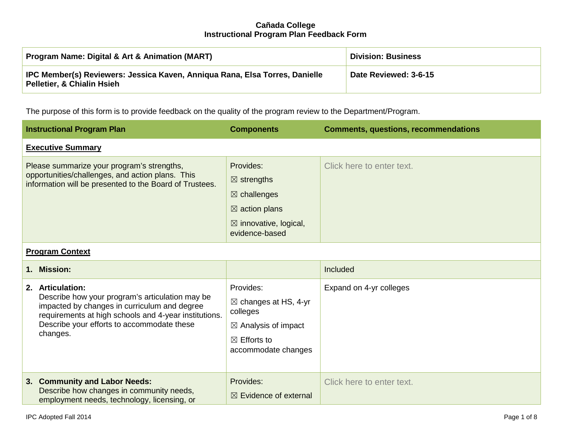| <b>Program Name: Digital &amp; Art &amp; Animation (MART)</b>                                                        | <b>Division: Business</b> |
|----------------------------------------------------------------------------------------------------------------------|---------------------------|
| IPC Member(s) Reviewers: Jessica Kaven, Anniqua Rana, Elsa Torres, Danielle<br><b>Pelletier, &amp; Chialin Hsieh</b> | Date Reviewed: 3-6-15     |

The purpose of this form is to provide feedback on the quality of the program review to the Department/Program.

|                                                                                                                                                           | <b>Instructional Program Plan</b>                                                                                                                                                                                                      | <b>Components</b>                                                                                                                              | <b>Comments, questions, recommendations</b> |
|-----------------------------------------------------------------------------------------------------------------------------------------------------------|----------------------------------------------------------------------------------------------------------------------------------------------------------------------------------------------------------------------------------------|------------------------------------------------------------------------------------------------------------------------------------------------|---------------------------------------------|
|                                                                                                                                                           | <b>Executive Summary</b>                                                                                                                                                                                                               |                                                                                                                                                |                                             |
| Please summarize your program's strengths,<br>opportunities/challenges, and action plans. This<br>information will be presented to the Board of Trustees. |                                                                                                                                                                                                                                        | Provides:<br>$\boxtimes$ strengths<br>$\boxtimes$ challenges<br>$\boxtimes$ action plans<br>$\boxtimes$ innovative, logical,<br>evidence-based | Click here to enter text.                   |
| <b>Program Context</b>                                                                                                                                    |                                                                                                                                                                                                                                        |                                                                                                                                                |                                             |
| 1.                                                                                                                                                        | <b>Mission:</b>                                                                                                                                                                                                                        |                                                                                                                                                | Included                                    |
|                                                                                                                                                           | 2. Articulation:<br>Describe how your program's articulation may be<br>impacted by changes in curriculum and degree<br>requirements at high schools and 4-year institutions.<br>Describe your efforts to accommodate these<br>changes. | Provides:<br>$\boxtimes$ changes at HS, 4-yr<br>colleges<br>$\boxtimes$ Analysis of impact<br>$\boxtimes$ Efforts to<br>accommodate changes    | Expand on 4-yr colleges                     |
|                                                                                                                                                           | 3. Community and Labor Needs:<br>Describe how changes in community needs,<br>employment needs, technology, licensing, or                                                                                                               | Provides:<br>$\boxtimes$ Evidence of external                                                                                                  | Click here to enter text.                   |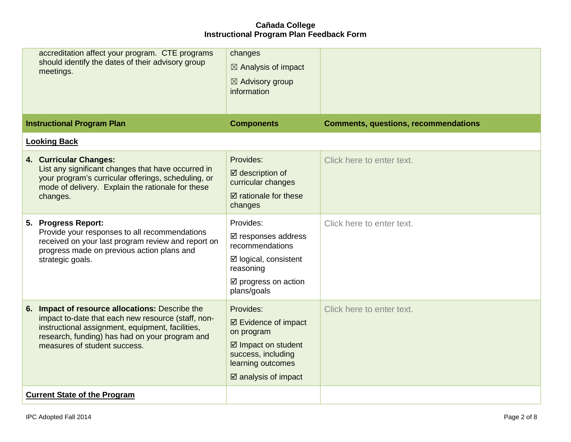| accreditation affect your program. CTE programs<br>should identify the dates of their advisory group<br>meetings.                                                                                                                           | changes<br>$\boxtimes$ Analysis of impact<br>$\boxtimes$ Advisory group<br>information                                                                        |                                             |
|---------------------------------------------------------------------------------------------------------------------------------------------------------------------------------------------------------------------------------------------|---------------------------------------------------------------------------------------------------------------------------------------------------------------|---------------------------------------------|
| <b>Instructional Program Plan</b>                                                                                                                                                                                                           | <b>Components</b>                                                                                                                                             | <b>Comments, questions, recommendations</b> |
| <b>Looking Back</b>                                                                                                                                                                                                                         |                                                                                                                                                               |                                             |
| 4. Curricular Changes:<br>List any significant changes that have occurred in<br>your program's curricular offerings, scheduling, or<br>mode of delivery. Explain the rationale for these<br>changes.                                        | Provides:<br>$\boxtimes$ description of<br>curricular changes<br>$\boxtimes$ rationale for these<br>changes                                                   | Click here to enter text.                   |
| 5. Progress Report:<br>Provide your responses to all recommendations<br>received on your last program review and report on<br>progress made on previous action plans and<br>strategic goals.                                                | Provides:<br>☑ responses address<br>recommendations<br>$\boxtimes$ logical, consistent<br>reasoning<br>☑ progress on action<br>plans/goals                    | Click here to enter text.                   |
| 6. Impact of resource allocations: Describe the<br>impact to-date that each new resource (staff, non-<br>instructional assignment, equipment, facilities,<br>research, funding) has had on your program and<br>measures of student success. | Provides:<br>☑ Evidence of impact<br>on program<br>$\boxtimes$ Impact on student<br>success, including<br>learning outcomes<br>$\boxtimes$ analysis of impact | Click here to enter text.                   |
| <b>Current State of the Program</b>                                                                                                                                                                                                         |                                                                                                                                                               |                                             |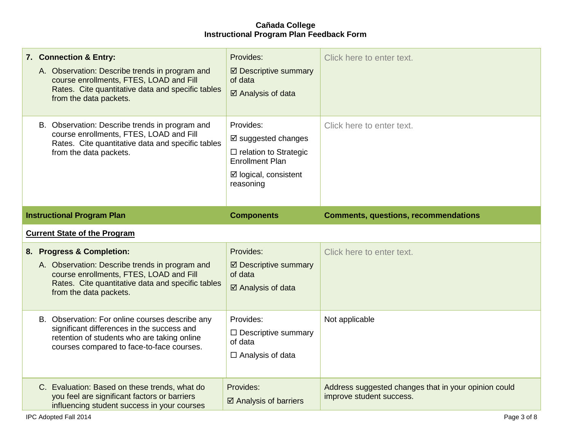|                                     | 7. Connection & Entry:<br>A. Observation: Describe trends in program and<br>course enrollments, FTES, LOAD and Fill<br>Rates. Cite quantitative data and specific tables<br>from the data packets.    | Provides:<br>☑ Descriptive summary<br>of data<br>☑ Analysis of data                                                                        | Click here to enter text.                                                        |  |
|-------------------------------------|-------------------------------------------------------------------------------------------------------------------------------------------------------------------------------------------------------|--------------------------------------------------------------------------------------------------------------------------------------------|----------------------------------------------------------------------------------|--|
|                                     | B. Observation: Describe trends in program and<br>course enrollments, FTES, LOAD and Fill<br>Rates. Cite quantitative data and specific tables<br>from the data packets.                              | Provides:<br>$\boxtimes$ suggested changes<br>$\Box$ relation to Strategic<br><b>Enrollment Plan</b><br>☑ logical, consistent<br>reasoning | Click here to enter text.                                                        |  |
|                                     | <b>Instructional Program Plan</b><br><b>Components</b><br><b>Comments, questions, recommendations</b>                                                                                                 |                                                                                                                                            |                                                                                  |  |
| <b>Current State of the Program</b> |                                                                                                                                                                                                       |                                                                                                                                            |                                                                                  |  |
|                                     | 8. Progress & Completion:<br>A. Observation: Describe trends in program and<br>course enrollments, FTES, LOAD and Fill<br>Rates. Cite quantitative data and specific tables<br>from the data packets. | Provides:<br>☑ Descriptive summary<br>of data<br>☑ Analysis of data                                                                        | Click here to enter text.                                                        |  |
|                                     | B. Observation: For online courses describe any<br>significant differences in the success and<br>retention of students who are taking online<br>courses compared to face-to-face courses.             | Provides:<br>$\Box$ Descriptive summary<br>of data<br>$\Box$ Analysis of data                                                              | Not applicable                                                                   |  |
|                                     | C. Evaluation: Based on these trends, what do<br>you feel are significant factors or barriers<br>influencing student success in your courses                                                          | Provides:<br>$\boxtimes$ Analysis of barriers                                                                                              | Address suggested changes that in your opinion could<br>improve student success. |  |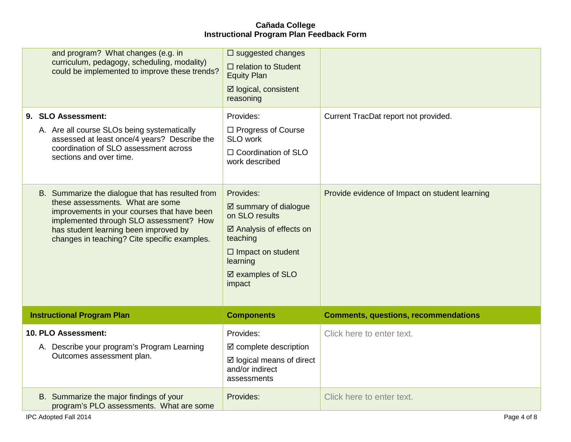| and program? What changes (e.g. in<br>curriculum, pedagogy, scheduling, modality)<br>could be implemented to improve these trends?<br>9. SLO Assessment:                                                                                                                | $\square$ suggested changes<br>$\Box$ relation to Student<br><b>Equity Plan</b><br>☑ logical, consistent<br>reasoning<br>Provides:                                                      | Current TracDat report not provided.           |
|-------------------------------------------------------------------------------------------------------------------------------------------------------------------------------------------------------------------------------------------------------------------------|-----------------------------------------------------------------------------------------------------------------------------------------------------------------------------------------|------------------------------------------------|
| A. Are all course SLOs being systematically<br>assessed at least once/4 years? Describe the<br>coordination of SLO assessment across<br>sections and over time.                                                                                                         | □ Progress of Course<br>SLO work<br>$\Box$ Coordination of SLO<br>work described                                                                                                        |                                                |
| B. Summarize the dialogue that has resulted from<br>these assessments. What are some<br>improvements in your courses that have been<br>implemented through SLO assessment? How<br>has student learning been improved by<br>changes in teaching? Cite specific examples. | Provides:<br>$\boxtimes$ summary of dialogue<br>on SLO results<br>$\boxtimes$ Analysis of effects on<br>teaching<br>$\Box$ Impact on student<br>learning<br>☑ examples of SLO<br>impact | Provide evidence of Impact on student learning |
| <b>Instructional Program Plan</b>                                                                                                                                                                                                                                       | <b>Components</b>                                                                                                                                                                       | <b>Comments, questions, recommendations</b>    |
| 10. PLO Assessment:<br>A. Describe your program's Program Learning<br>Outcomes assessment plan.                                                                                                                                                                         | Provides:<br>$\boxtimes$ complete description<br>$\boxtimes$ logical means of direct<br>and/or indirect                                                                                 | Click here to enter text.                      |
|                                                                                                                                                                                                                                                                         | assessments                                                                                                                                                                             |                                                |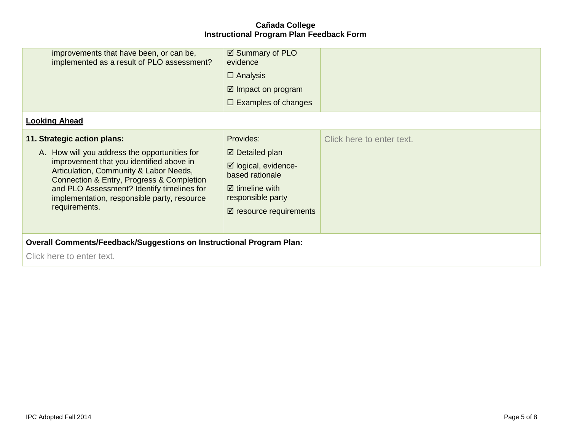| improvements that have been, or can be,<br>implemented as a result of PLO assessment?                                                                                                                                                                                                                                         | ☑ Summary of PLO<br>evidence<br>$\Box$ Analysis<br>$\boxtimes$ Impact on program<br>$\Box$ Examples of changes                                                           |                           |  |
|-------------------------------------------------------------------------------------------------------------------------------------------------------------------------------------------------------------------------------------------------------------------------------------------------------------------------------|--------------------------------------------------------------------------------------------------------------------------------------------------------------------------|---------------------------|--|
| <b>Looking Ahead</b>                                                                                                                                                                                                                                                                                                          |                                                                                                                                                                          |                           |  |
| 11. Strategic action plans:<br>A. How will you address the opportunities for<br>improvement that you identified above in<br>Articulation, Community & Labor Needs,<br>Connection & Entry, Progress & Completion<br>and PLO Assessment? Identify timelines for<br>implementation, responsible party, resource<br>requirements. | Provides:<br>$\boxtimes$ Detailed plan<br>☑ logical, evidence-<br>based rationale<br>$\boxtimes$ timeline with<br>responsible party<br>$\boxtimes$ resource requirements | Click here to enter text. |  |
| <b>Overall Comments/Feedback/Suggestions on Instructional Program Plan:</b><br>Click here to enter text.                                                                                                                                                                                                                      |                                                                                                                                                                          |                           |  |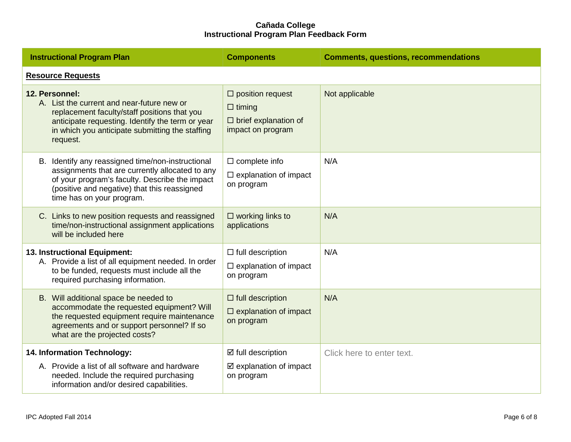| <b>Instructional Program Plan</b>                                                                                                                                                                                                   | <b>Components</b>                                                                            | <b>Comments, questions, recommendations</b> |  |  |
|-------------------------------------------------------------------------------------------------------------------------------------------------------------------------------------------------------------------------------------|----------------------------------------------------------------------------------------------|---------------------------------------------|--|--|
| <b>Resource Requests</b>                                                                                                                                                                                                            |                                                                                              |                                             |  |  |
| 12. Personnel:<br>A. List the current and near-future new or<br>replacement faculty/staff positions that you<br>anticipate requesting. Identify the term or year<br>in which you anticipate submitting the staffing<br>request.     | $\Box$ position request<br>$\Box$ timing<br>$\Box$ brief explanation of<br>impact on program | Not applicable                              |  |  |
| B. Identify any reassigned time/non-instructional<br>assignments that are currently allocated to any<br>of your program's faculty. Describe the impact<br>(positive and negative) that this reassigned<br>time has on your program. | $\Box$ complete info<br>$\square$ explanation of impact<br>on program                        | N/A                                         |  |  |
| C. Links to new position requests and reassigned<br>time/non-instructional assignment applications<br>will be included here                                                                                                         | $\square$ working links to<br>applications                                                   | N/A                                         |  |  |
| 13. Instructional Equipment:<br>A. Provide a list of all equipment needed. In order<br>to be funded, requests must include all the<br>required purchasing information.                                                              | $\Box$ full description<br>$\Box$ explanation of impact<br>on program                        | N/A                                         |  |  |
| B. Will additional space be needed to<br>accommodate the requested equipment? Will<br>the requested equipment require maintenance<br>agreements and or support personnel? If so<br>what are the projected costs?                    | $\Box$ full description<br>$\Box$ explanation of impact<br>on program                        | N/A                                         |  |  |
| 14. Information Technology:<br>A. Provide a list of all software and hardware<br>needed. Include the required purchasing<br>information and/or desired capabilities.                                                                | ☑ full description<br>$\boxtimes$ explanation of impact<br>on program                        | Click here to enter text.                   |  |  |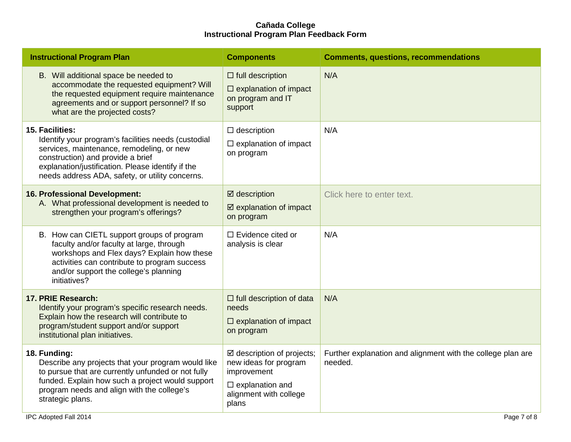| <b>Instructional Program Plan</b>                                                                                                                                                                                                                                | <b>Components</b>                                                                                                                            | <b>Comments, questions, recommendations</b>                            |  |
|------------------------------------------------------------------------------------------------------------------------------------------------------------------------------------------------------------------------------------------------------------------|----------------------------------------------------------------------------------------------------------------------------------------------|------------------------------------------------------------------------|--|
| B. Will additional space be needed to<br>accommodate the requested equipment? Will<br>the requested equipment require maintenance<br>agreements and or support personnel? If so<br>what are the projected costs?                                                 | $\Box$ full description<br>$\square$ explanation of impact<br>on program and IT<br>support                                                   | N/A                                                                    |  |
| 15. Facilities:<br>Identify your program's facilities needs (custodial<br>services, maintenance, remodeling, or new<br>construction) and provide a brief<br>explanation/justification. Please identify if the<br>needs address ADA, safety, or utility concerns. | $\Box$ description<br>$\Box$ explanation of impact<br>on program                                                                             | N/A                                                                    |  |
| 16. Professional Development:<br>A. What professional development is needed to<br>strengthen your program's offerings?                                                                                                                                           | $\boxtimes$ description<br>$\boxtimes$ explanation of impact<br>on program                                                                   | Click here to enter text.                                              |  |
| B. How can CIETL support groups of program<br>faculty and/or faculty at large, through<br>workshops and Flex days? Explain how these<br>activities can contribute to program success<br>and/or support the college's planning<br>initiatives?                    | $\Box$ Evidence cited or<br>analysis is clear                                                                                                | N/A                                                                    |  |
| 17. PRIE Research:<br>Identify your program's specific research needs.<br>Explain how the research will contribute to<br>program/student support and/or support<br>institutional plan initiatives.                                                               | $\Box$ full description of data<br>needs<br>$\Box$ explanation of impact<br>on program                                                       | N/A                                                                    |  |
| 18. Funding:<br>Describe any projects that your program would like<br>to pursue that are currently unfunded or not fully<br>funded. Explain how such a project would support<br>program needs and align with the college's<br>strategic plans.                   | $\boxtimes$ description of projects;<br>new ideas for program<br>improvement<br>$\square$ explanation and<br>alignment with college<br>plans | Further explanation and alignment with the college plan are<br>needed. |  |